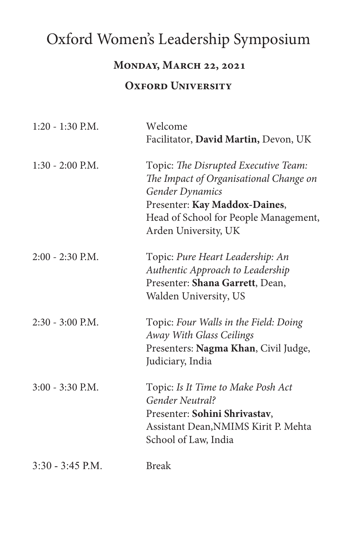# Oxford Women's Leadership Symposium

#### **Monday, March 22, 2021**

#### **OXFORD UNIVERSITY**

| $1:20 - 1:30$ P.M. | Welcome<br>Facilitator, David Martin, Devon, UK                                                                                                                                                            |
|--------------------|------------------------------------------------------------------------------------------------------------------------------------------------------------------------------------------------------------|
| $1:30 - 2:00$ P.M. | Topic: The Disrupted Executive Team:<br>The Impact of Organisational Change on<br><b>Gender Dynamics</b><br>Presenter: Kay Maddox-Daines,<br>Head of School for People Management,<br>Arden University, UK |
| $2:00 - 2:30$ P.M. | Topic: Pure Heart Leadership: An<br>Authentic Approach to Leadership<br>Presenter: Shana Garrett, Dean,<br>Walden University, US                                                                           |
| 2:30 - 3:00 P.M.   | Topic: Four Walls in the Field: Doing<br>Away With Glass Ceilings<br>Presenters: Nagma Khan, Civil Judge,<br>Judiciary, India                                                                              |
| $3:00 - 3:30$ P.M. | Topic: Is It Time to Make Posh Act<br>Gender Neutral?<br>Presenter: Sohini Shrivastav,<br>Assistant Dean, NMIMS Kirit P. Mehta<br>School of Law, India                                                     |
| $3:30 - 3:45$ P.M. | <b>Break</b>                                                                                                                                                                                               |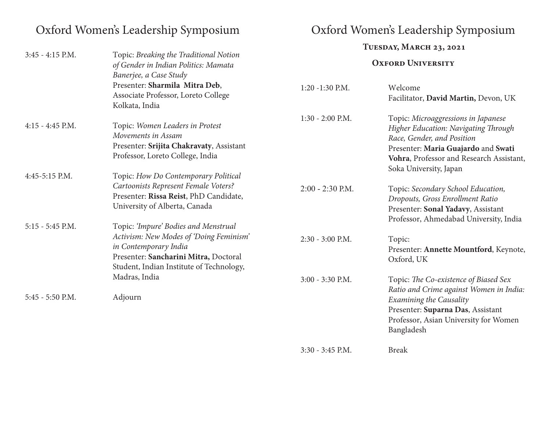# Oxford Women's Leadership Symposium Oxford Women's Leadership Symposium

|                    |                                                                                                                                                                                               | TUESDAY, MARCH 23, 2021  |                                                                                                                                                                                                                        |  |
|--------------------|-----------------------------------------------------------------------------------------------------------------------------------------------------------------------------------------------|--------------------------|------------------------------------------------------------------------------------------------------------------------------------------------------------------------------------------------------------------------|--|
| $3:45 - 4:15$ P.M. | Topic: Breaking the Traditional Notion<br>of Gender in Indian Politics: Mamata<br>Banerjee, a Case Study                                                                                      | <b>OXFORD UNIVERSITY</b> |                                                                                                                                                                                                                        |  |
|                    | Presenter: Sharmila Mitra Deb,<br>Associate Professor, Loreto College<br>Kolkata, India                                                                                                       | $1:20 - 1:30$ P.M.       | Welcome<br>Facilitator, David Martin, Devon, UK                                                                                                                                                                        |  |
| $4:15 - 4:45$ P.M. | Topic: Women Leaders in Protest<br>Movements in Assam<br>Presenter: Srijita Chakravaty, Assistant<br>Professor, Loreto College, India                                                         | $1:30 - 2:00$ P.M.       | Topic: Microaggressions in Japanese<br>Higher Education: Navigating Through<br>Race, Gender, and Position<br>Presenter: Maria Guajardo and Swati<br>Vohra, Professor and Research Assistant,<br>Soka University, Japan |  |
| 4:45-5:15 P.M.     | Topic: How Do Contemporary Political<br>Cartoonists Represent Female Voters?<br>Presenter: Rissa Reist, PhD Candidate,<br>University of Alberta, Canada                                       | $2:00 - 2:30$ P.M.       | Topic: Secondary School Education,<br>Dropouts, Gross Enrollment Ratio<br>Presenter: Sonal Yadavy, Assistant<br>Professor, Ahmedabad University, India                                                                 |  |
| $5:15 - 5:45$ P.M. | Topic: 'Impure' Bodies and Menstrual<br>Activism: New Modes of 'Doing Feminism'<br>in Contemporary India<br>Presenter: Sancharini Mitra, Doctoral<br>Student, Indian Institute of Technology, | $2:30 - 3:00$ P.M.       | Topic:<br>Presenter: Annette Mountford, Keynote,<br>Oxford, UK                                                                                                                                                         |  |
| 5:45 - 5:50 P.M.   | Madras, India<br>Adjourn                                                                                                                                                                      | 3:00 - 3:30 P.M.         | Topic: The Co-existence of Biased Sex<br>Ratio and Crime against Women in India:<br><b>Examining the Causality</b><br>Presenter: Suparna Das, Assistant<br>Professor, Asian University for Women<br>Bangladesh         |  |
|                    |                                                                                                                                                                                               | $3:30 - 3:45$ P.M.       | <b>Break</b>                                                                                                                                                                                                           |  |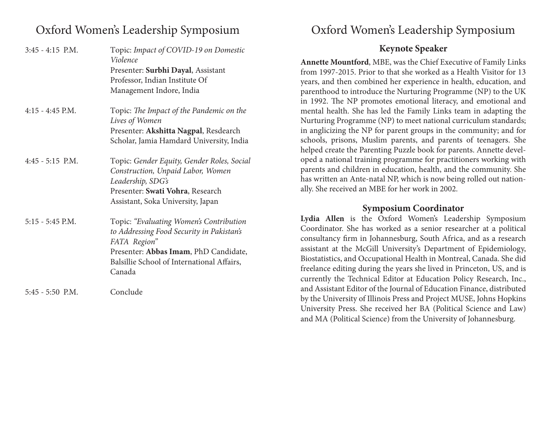## Oxford Women's Leadership Symposium

| $3:45 - 4:15$ P.M. | Topic: Impact of COVID-19 on Domestic<br>Violence |                |
|--------------------|---------------------------------------------------|----------------|
|                    |                                                   | A <sub>1</sub> |
|                    | Presenter: Surbhi Dayal, Assistant                | frc            |
|                    | Professor, Indian Institute Of                    | ye             |
|                    | Management Indore, India                          | pa             |
|                    |                                                   | in             |
| $4:15 - 4:45$ P.M. | Topic: The Impact of the Pandemic on the          | m              |
|                    | Lives of Women                                    | $N_1$          |
|                    | Presenter: Akshitta Nagpal, Resdearch             | in             |
|                    | Scholar, Jamia Hamdard University, India          | sc             |
|                    |                                                   | he             |
| $4:45 - 5:15$ P.M. | Topic: Gender Equity, Gender Roles, Social        | op             |
|                    | Construction, Unpaid Labor, Women                 | pa             |
|                    | Leadership, SDG's                                 | ha             |
|                    | Presenter: Swati Vohra, Research                  | all            |
|                    | Assistant, Soka University, Japan                 |                |
| $5:15 - 5:45$ P.M. | Topic: "Evaluating Women's Contribution           | Ly             |
|                    | to Addressing Food Security in Pakistan's         | C <sub>0</sub> |
|                    | FATA Region"                                      | CO             |
|                    | Presenter: Abbas Imam, PhD Candidate,             | as:            |
|                    | Balsillie School of International Affairs,        | Bi             |
|                    | Canada                                            | fr6            |
|                    |                                                   | cu             |
| $5:45 - 5:50$ P.M. | Conclude                                          | an             |
|                    |                                                   | by             |

## Oxford Women's Leadership Symposium

### **Keynote Speaker**

**Annette Mountford**, MBE, was the Chief Executive of Family Links om 1997-2015. Prior to that she worked as a Health Visitor for 13 ears, and then combined her experience in health, education, and arenthood to introduce the Nurturing Programme (NP) to the UK 1992. The NP promotes emotional literacy, and emotional and ental health. She has led the Family Links team in adapting the urturing Programme (NP) to meet national curriculum standards; anglicizing the NP for parent groups in the community; and for chools, prisons, Muslim parents, and parents of teenagers. She elped create the Parenting Puzzle book for parents. Annette developed a national training programme for practitioners working with arents and children in education, health, and the community. She as written an Ante-natal NP, which is now being rolled out nationly. She received an MBE for her work in 2002.

### **Symposium Coordinator**

**Lydia Allen** is the Oxford Women's Leadership Symposium oordinator. She has worked as a senior researcher at a political consultancy firm in Johannesburg, South Africa, and as a research sistant at the McGill University's Department of Epidemiology, iostatistics, and Occupational Health in Montreal, Canada. She did freelance editing during the years she lived in Princeton, US, and is exteently the Technical Editor at Education Policy Research, Inc., d Assistant Editor of the Journal of Education Finance, distributed by the University of Illinois Press and Project MUSE, Johns Hopkins University Press. She received her BA (Political Science and Law) and MA (Political Science) from the University of Johannesburg.